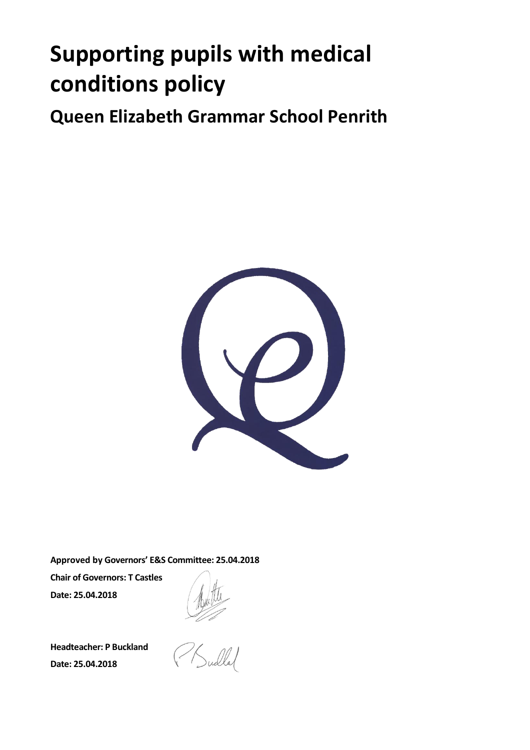# **Supporting pupils with medical conditions policy**

**Queen Elizabeth Grammar School Penrith**



**Approved by Governors' E&S Committee: 25.04.2018**

**Chair of Governors: T Castles Date: 25.04.2018**

**Headteacher: P Buckland Date: 25.04.2018**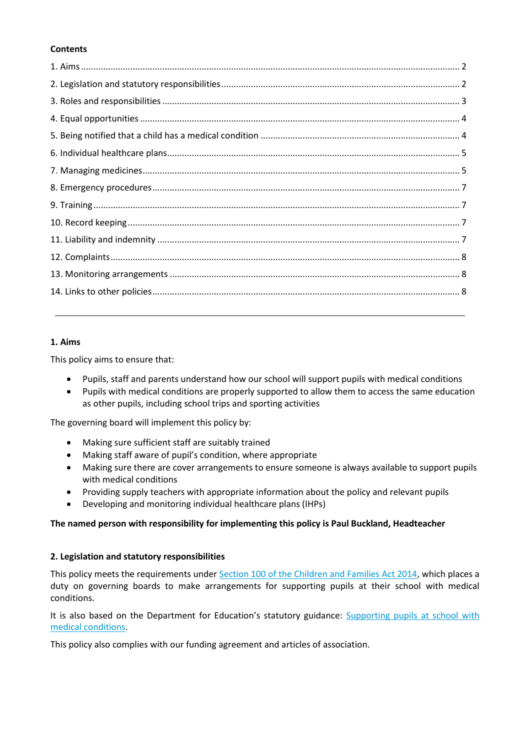#### **Contents**

#### **1. Aims**

This policy aims to ensure that:

- Pupils, staff and parents understand how our school will support pupils with medical conditions
- Pupils with medical conditions are properly supported to allow them to access the same education as other pupils, including school trips and sporting activities

The governing board will implement this policy by:

- Making sure sufficient staff are suitably trained
- Making staff aware of pupil's condition, where appropriate
- Making sure there are cover arrangements to ensure someone is always available to support pupils with medical conditions
- Providing supply teachers with appropriate information about the policy and relevant pupils
- Developing and monitoring individual healthcare plans (IHPs)

# **The named person with responsibility for implementing this policy is Paul Buckland, Headteacher**

#### **2. Legislation and statutory responsibilities**

This policy meets the requirements under [Section 100 of the Children and Families Act 2014,](http://www.legislation.gov.uk/ukpga/2014/6/part/5/crossheading/pupils-with-medical-conditions) which places a duty on governing boards to make arrangements for supporting pupils at their school with medical conditions.

It is also based on the Department for Education's statutory guidance: Supporting pupils at school with [medical conditions.](https://www.gov.uk/government/uploads/system/uploads/attachment_data/file/484418/supporting-pupils-at-school-with-medical-conditions.pdf)

This policy also complies with our funding agreement and articles of association.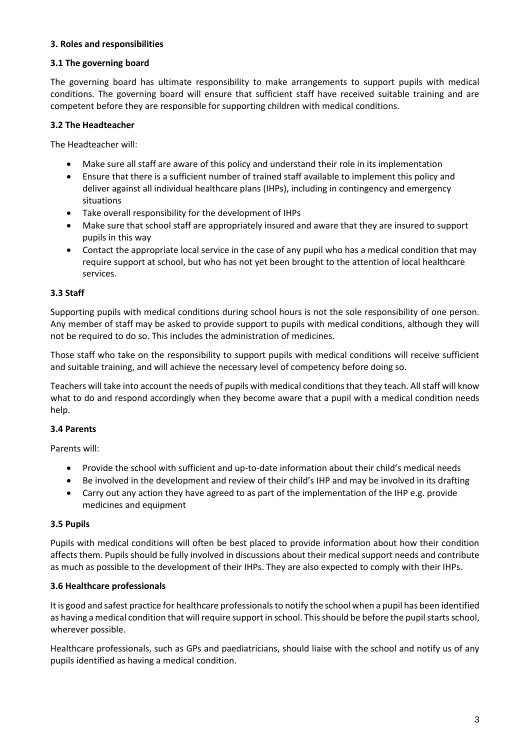#### **3. Roles and responsibilities**

#### **3.1 The governing board**

The governing board has ultimate responsibility to make arrangements to support pupils with medical conditions. The governing board will ensure that sufficient staff have received suitable training and are competent before they are responsible for supporting children with medical conditions.

#### **3.2 The Headteacher**

The Headteacher will:

- Make sure all staff are aware of this policy and understand their role in its implementation
- Ensure that there is a sufficient number of trained staff available to implement this policy and deliver against all individual healthcare plans (IHPs), including in contingency and emergency situations
- Take overall responsibility for the development of IHPs
- Make sure that school staff are appropriately insured and aware that they are insured to support pupils in this way
- Contact the appropriate local service in the case of any pupil who has a medical condition that may require support at school, but who has not yet been brought to the attention of local healthcare services.

## **3.3 Staff**

Supporting pupils with medical conditions during school hours is not the sole responsibility of one person. Any member of staff may be asked to provide support to pupils with medical conditions, although they will not be required to do so. This includes the administration of medicines.

Those staff who take on the responsibility to support pupils with medical conditions will receive sufficient and suitable training, and will achieve the necessary level of competency before doing so.

Teachers will take into account the needs of pupils with medical conditions that they teach. All staff will know what to do and respond accordingly when they become aware that a pupil with a medical condition needs help.

## **3.4 Parents**

Parents will:

- Provide the school with sufficient and up-to-date information about their child's medical needs
- Be involved in the development and review of their child's IHP and may be involved in its drafting
- Carry out any action they have agreed to as part of the implementation of the IHP e.g. provide medicines and equipment

#### **3.5 Pupils**

Pupils with medical conditions will often be best placed to provide information about how their condition affects them. Pupils should be fully involved in discussions about their medical support needs and contribute as much as possible to the development of their IHPs. They are also expected to comply with their IHPs.

## **3.6 Healthcare professionals**

It is good and safest practice for healthcare professionals to notify the school when a pupil has been identified as having a medical condition that will require support in school. This should be before the pupil starts school, wherever possible.

Healthcare professionals, such as GPs and paediatricians, should liaise with the school and notify us of any pupils identified as having a medical condition.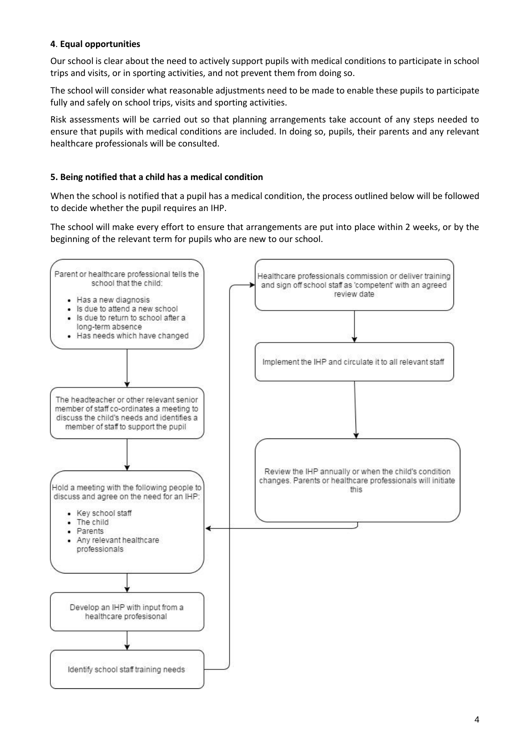# **4**. **Equal opportunities**

Our school is clear about the need to actively support pupils with medical conditions to participate in school trips and visits, or in sporting activities, and not prevent them from doing so.

The school will consider what reasonable adjustments need to be made to enable these pupils to participate fully and safely on school trips, visits and sporting activities.

Risk assessments will be carried out so that planning arrangements take account of any steps needed to ensure that pupils with medical conditions are included. In doing so, pupils, their parents and any relevant healthcare professionals will be consulted.

# **5. Being notified that a child has a medical condition**

When the school is notified that a pupil has a medical condition, the process outlined below will be followed to decide whether the pupil requires an IHP.

The school will make every effort to ensure that arrangements are put into place within 2 weeks, or by the beginning of the relevant term for pupils who are new to our school.

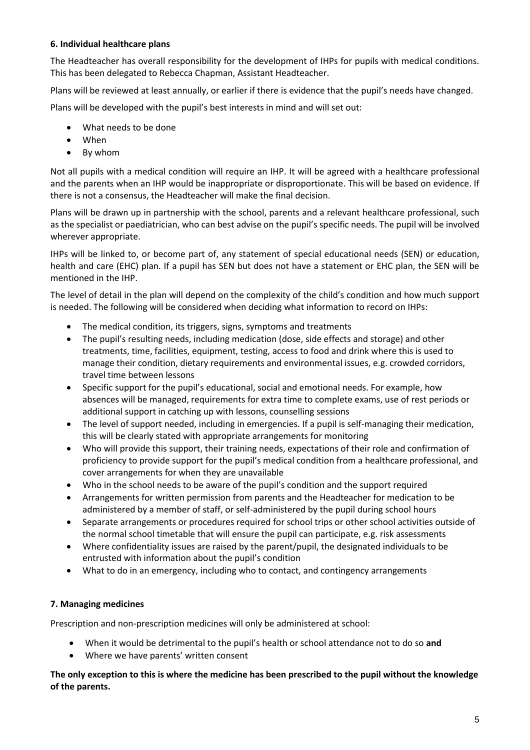## **6. Individual healthcare plans**

The Headteacher has overall responsibility for the development of IHPs for pupils with medical conditions. This has been delegated to Rebecca Chapman, Assistant Headteacher.

Plans will be reviewed at least annually, or earlier if there is evidence that the pupil's needs have changed.

Plans will be developed with the pupil's best interests in mind and will set out:

- What needs to be done
- When
- By whom

Not all pupils with a medical condition will require an IHP. It will be agreed with a healthcare professional and the parents when an IHP would be inappropriate or disproportionate. This will be based on evidence. If there is not a consensus, the Headteacher will make the final decision.

Plans will be drawn up in partnership with the school, parents and a relevant healthcare professional, such as the specialist or paediatrician, who can best advise on the pupil's specific needs. The pupil will be involved wherever appropriate.

IHPs will be linked to, or become part of, any statement of special educational needs (SEN) or education, health and care (EHC) plan. If a pupil has SEN but does not have a statement or EHC plan, the SEN will be mentioned in the IHP.

The level of detail in the plan will depend on the complexity of the child's condition and how much support is needed. The following will be considered when deciding what information to record on IHPs:

- The medical condition, its triggers, signs, symptoms and treatments
- The pupil's resulting needs, including medication (dose, side effects and storage) and other treatments, time, facilities, equipment, testing, access to food and drink where this is used to manage their condition, dietary requirements and environmental issues, e.g. crowded corridors, travel time between lessons
- Specific support for the pupil's educational, social and emotional needs. For example, how absences will be managed, requirements for extra time to complete exams, use of rest periods or additional support in catching up with lessons, counselling sessions
- The level of support needed, including in emergencies. If a pupil is self-managing their medication, this will be clearly stated with appropriate arrangements for monitoring
- Who will provide this support, their training needs, expectations of their role and confirmation of proficiency to provide support for the pupil's medical condition from a healthcare professional, and cover arrangements for when they are unavailable
- Who in the school needs to be aware of the pupil's condition and the support required
- Arrangements for written permission from parents and the Headteacher for medication to be administered by a member of staff, or self-administered by the pupil during school hours
- Separate arrangements or procedures required for school trips or other school activities outside of the normal school timetable that will ensure the pupil can participate, e.g. risk assessments
- Where confidentiality issues are raised by the parent/pupil, the designated individuals to be entrusted with information about the pupil's condition
- What to do in an emergency, including who to contact, and contingency arrangements

## **7. Managing medicines**

Prescription and non-prescription medicines will only be administered at school:

- When it would be detrimental to the pupil's health or school attendance not to do so **and**
- Where we have parents' written consent

**The only exception to this is where the medicine has been prescribed to the pupil without the knowledge of the parents.**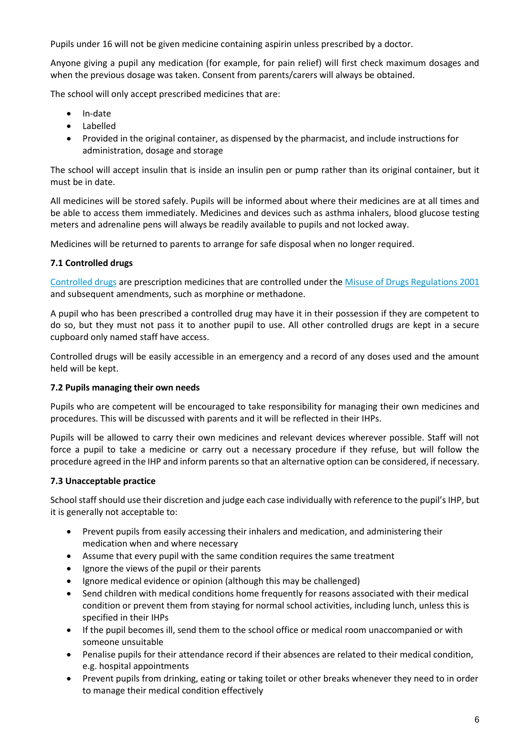Pupils under 16 will not be given medicine containing aspirin unless prescribed by a doctor.

Anyone giving a pupil any medication (for example, for pain relief) will first check maximum dosages and when the previous dosage was taken. Consent from parents/carers will always be obtained.

The school will only accept prescribed medicines that are:

- In-date
- Labelled
- Provided in the original container, as dispensed by the pharmacist, and include instructions for administration, dosage and storage

The school will accept insulin that is inside an insulin pen or pump rather than its original container, but it must be in date.

All medicines will be stored safely. Pupils will be informed about where their medicines are at all times and be able to access them immediately. Medicines and devices such as asthma inhalers, blood glucose testing meters and adrenaline pens will always be readily available to pupils and not locked away.

Medicines will be returned to parents to arrange for safe disposal when no longer required.

## **7.1 Controlled drugs**

[Controlled drugs](http://www.nhs.uk/chq/Pages/1391.aspx?CategoryID=73) are prescription medicines that are controlled under the [Misuse of Drugs Regulations 2001](http://www.legislation.gov.uk/uksi/2001/3998/schedule/1/made) and subsequent amendments, such as morphine or methadone.

A pupil who has been prescribed a controlled drug may have it in their possession if they are competent to do so, but they must not pass it to another pupil to use. All other controlled drugs are kept in a secure cupboard only named staff have access.

Controlled drugs will be easily accessible in an emergency and a record of any doses used and the amount held will be kept.

## **7.2 Pupils managing their own needs**

Pupils who are competent will be encouraged to take responsibility for managing their own medicines and procedures. This will be discussed with parents and it will be reflected in their IHPs.

Pupils will be allowed to carry their own medicines and relevant devices wherever possible. Staff will not force a pupil to take a medicine or carry out a necessary procedure if they refuse, but will follow the procedure agreed in the IHP and inform parents so that an alternative option can be considered, if necessary.

## **7.3 Unacceptable practice**

School staff should use their discretion and judge each case individually with reference to the pupil's IHP, but it is generally not acceptable to:

- Prevent pupils from easily accessing their inhalers and medication, and administering their medication when and where necessary
- Assume that every pupil with the same condition requires the same treatment
- Ignore the views of the pupil or their parents
- Ignore medical evidence or opinion (although this may be challenged)
- Send children with medical conditions home frequently for reasons associated with their medical condition or prevent them from staying for normal school activities, including lunch, unless this is specified in their IHPs
- If the pupil becomes ill, send them to the school office or medical room unaccompanied or with someone unsuitable
- Penalise pupils for their attendance record if their absences are related to their medical condition, e.g. hospital appointments
- Prevent pupils from drinking, eating or taking toilet or other breaks whenever they need to in order to manage their medical condition effectively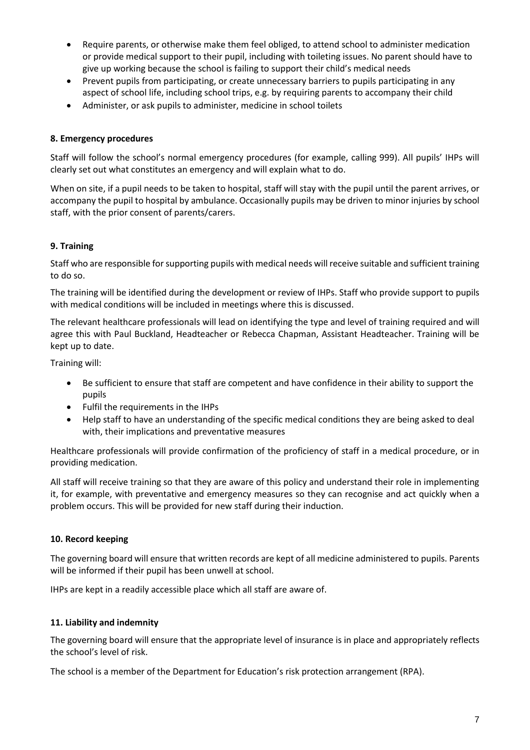- Require parents, or otherwise make them feel obliged, to attend school to administer medication or provide medical support to their pupil, including with toileting issues. No parent should have to give up working because the school is failing to support their child's medical needs
- Prevent pupils from participating, or create unnecessary barriers to pupils participating in any aspect of school life, including school trips, e.g. by requiring parents to accompany their child
- Administer, or ask pupils to administer, medicine in school toilets

## **8. Emergency procedures**

Staff will follow the school's normal emergency procedures (for example, calling 999). All pupils' IHPs will clearly set out what constitutes an emergency and will explain what to do.

When on site, if a pupil needs to be taken to hospital, staff will stay with the pupil until the parent arrives, or accompany the pupil to hospital by ambulance. Occasionally pupils may be driven to minor injuries by school staff, with the prior consent of parents/carers.

#### **9. Training**

Staff who are responsible for supporting pupils with medical needs will receive suitable and sufficient training to do so.

The training will be identified during the development or review of IHPs. Staff who provide support to pupils with medical conditions will be included in meetings where this is discussed.

The relevant healthcare professionals will lead on identifying the type and level of training required and will agree this with Paul Buckland, Headteacher or Rebecca Chapman, Assistant Headteacher. Training will be kept up to date.

Training will:

- Be sufficient to ensure that staff are competent and have confidence in their ability to support the pupils
- Fulfil the requirements in the IHPs
- Help staff to have an understanding of the specific medical conditions they are being asked to deal with, their implications and preventative measures

Healthcare professionals will provide confirmation of the proficiency of staff in a medical procedure, or in providing medication.

All staff will receive training so that they are aware of this policy and understand their role in implementing it, for example, with preventative and emergency measures so they can recognise and act quickly when a problem occurs. This will be provided for new staff during their induction.

#### **10. Record keeping**

The governing board will ensure that written records are kept of all medicine administered to pupils. Parents will be informed if their pupil has been unwell at school.

IHPs are kept in a readily accessible place which all staff are aware of.

#### **11. Liability and indemnity**

The governing board will ensure that the appropriate level of insurance is in place and appropriately reflects the school's level of risk.

The school is a member of the Department for Education's risk protection arrangement (RPA).